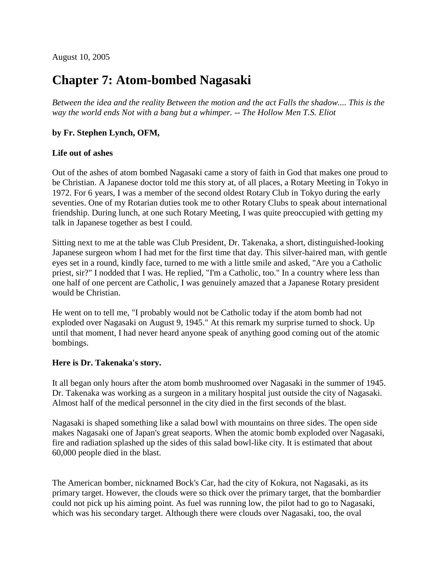August 10, 2005

## **Chapter 7: Atom-bombed Nagasaki**

*Between the idea and the reality Between the motion and the act Falls the shadow.... This is the way the world ends Not with a bang but a whimper. -- The Hollow Men T.S. Eliot*

## **by Fr. Stephen Lynch, OFM,**

## **Life out of ashes**

Out of the ashes of atom bombed Nagasaki came a story of faith in God that makes one proud to be Christian. A Japanese doctor told me this story at, of all places, a Rotary Meeting in Tokyo in 1972. For 6 years, I was a member of the second oldest Rotary Club in Tokyo during the early seventies. One of my Rotarian duties took me to other Rotary Clubs to speak about international friendship. During lunch, at one such Rotary Meeting, I was quite preoccupied with getting my talk in Japanese together as best I could.

Sitting next to me at the table was Club President, Dr. Takenaka, a short, distinguished-looking Japanese surgeon whom I had met for the first time that day. This silver-haired man, with gentle eyes set in a round, kindly face, turned to me with a little smile and asked, "Are you a Catholic priest, sir?" I nodded that I was. He replied, "I'm a Catholic, too." In a country where less than one half of one percent are Catholic, I was genuinely amazed that a Japanese Rotary president would be Christian.

He went on to tell me, "I probably would not be Catholic today if the atom bomb had not exploded over Nagasaki on August 9, 1945." At this remark my surprise turned to shock. Up until that moment, I had never heard anyone speak of anything good coming out of the atomic bombings.

## **Here is Dr. Takenaka's story.**

It all began only hours after the atom bomb mushroomed over Nagasaki in the summer of 1945. Dr. Takenaka was working as a surgeon in a military hospital just outside the city of Nagasaki. Almost half of the medical personnel in the city died in the first seconds of the blast.

Nagasaki is shaped something like a salad bowl with mountains on three sides. The open side makes Nagasaki one of Japan's great seaports. When the atomic bomb exploded over Nagasaki, fire and radiation splashed up the sides of this salad bowl-like city. It is estimated that about 60,000 people died in the blast.

The American bomber, nicknamed Bock's Car, had the city of Kokura, not Nagasaki, as its primary target. However, the clouds were so thick over the primary target, that the bombardier could not pick up his aiming point. As fuel was running low, the pilot had to go to Nagasaki, which was his secondary target. Although there were clouds over Nagasaki, too, the oval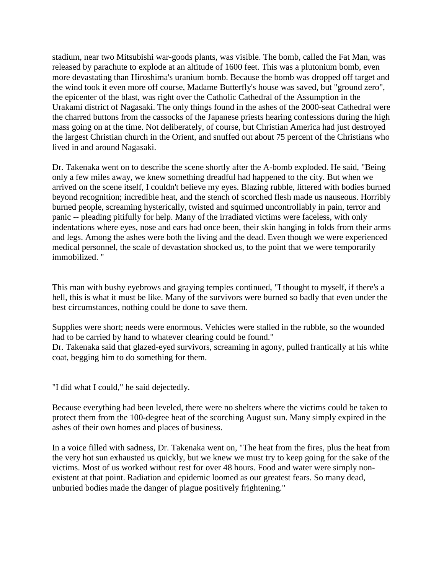stadium, near two Mitsubishi war-goods plants, was visible. The bomb, called the Fat Man, was released by parachute to explode at an altitude of 1600 feet. This was a plutonium bomb, even more devastating than Hiroshima's uranium bomb. Because the bomb was dropped off target and the wind took it even more off course, Madame Butterfly's house was saved, but "ground zero", the epicenter of the blast, was right over the Catholic Cathedral of the Assumption in the Urakami district of Nagasaki. The only things found in the ashes of the 2000-seat Cathedral were the charred buttons from the cassocks of the Japanese priests hearing confessions during the high mass going on at the time. Not deliberately, of course, but Christian America had just destroyed the largest Christian church in the Orient, and snuffed out about 75 percent of the Christians who lived in and around Nagasaki.

Dr. Takenaka went on to describe the scene shortly after the A-bomb exploded. He said, "Being only a few miles away, we knew something dreadful had happened to the city. But when we arrived on the scene itself, I couldn't believe my eyes. Blazing rubble, littered with bodies burned beyond recognition; incredible heat, and the stench of scorched flesh made us nauseous. Horribly burned people, screaming hysterically, twisted and squirmed uncontrollably in pain, terror and panic -- pleading pitifully for help. Many of the irradiated victims were faceless, with only indentations where eyes, nose and ears had once been, their skin hanging in folds from their arms and legs. Among the ashes were both the living and the dead. Even though we were experienced medical personnel, the scale of devastation shocked us, to the point that we were temporarily immobilized. "

This man with bushy eyebrows and graying temples continued, "I thought to myself, if there's a hell, this is what it must be like. Many of the survivors were burned so badly that even under the best circumstances, nothing could be done to save them.

Supplies were short; needs were enormous. Vehicles were stalled in the rubble, so the wounded had to be carried by hand to whatever clearing could be found."

Dr. Takenaka said that glazed-eyed survivors, screaming in agony, pulled frantically at his white coat, begging him to do something for them.

"I did what I could," he said dejectedly.

Because everything had been leveled, there were no shelters where the victims could be taken to protect them from the 100-degree heat of the scorching August sun. Many simply expired in the ashes of their own homes and places of business.

In a voice filled with sadness, Dr. Takenaka went on, "The heat from the fires, plus the heat from the very hot sun exhausted us quickly, but we knew we must try to keep going for the sake of the victims. Most of us worked without rest for over 48 hours. Food and water were simply nonexistent at that point. Radiation and epidemic loomed as our greatest fears. So many dead, unburied bodies made the danger of plague positively frightening."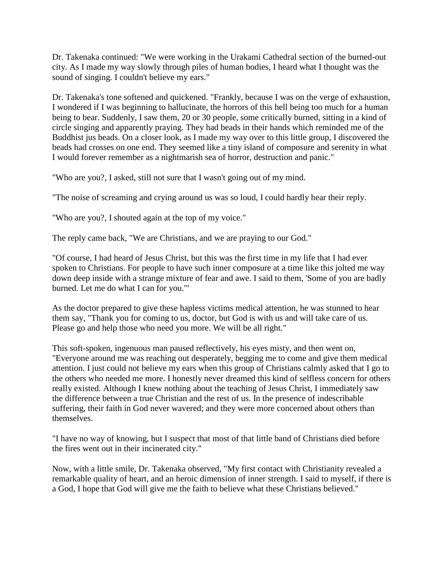Dr. Takenaka continued: "We were working in the Urakami Cathedral section of the burned-out city. As I made my way slowly through piles of human bodies, I heard what I thought was the sound of singing. I couldn't believe my ears."

Dr. Takenaka's tone softened and quickened. "Frankly, because I was on the verge of exhaustion, I wondered if I was beginning to hallucinate, the horrors of this hell being too much for a human being to bear. Suddenly, I saw them, 20 or 30 people, some critically burned, sitting in a kind of circle singing and apparently praying. They had beads in their hands which reminded me of the Buddhist jus beads. On a closer look, as I made my way over to this little group, I discovered the beads had crosses on one end. They seemed like a tiny island of composure and serenity in what I would forever remember as a nightmarish sea of horror, destruction and panic."

"Who are you?, I asked, still not sure that I wasn't going out of my mind.

"The noise of screaming and crying around us was so loud, I could hardly hear their reply.

"Who are you?, I shouted again at the top of my voice."

The reply came back, "We are Christians, and we are praying to our God."

"Of course, I had heard of Jesus Christ, but this was the first time in my life that I had ever spoken to Christians. For people to have such inner composure at a time like this jolted me way down deep inside with a strange mixture of fear and awe. I said to them, 'Some of you are badly burned. Let me do what I can for you.'"

As the doctor prepared to give these hapless victims medical attention, he was stunned to hear them say, "Thank you for coming to us, doctor, but God is with us and will take care of us. Please go and help those who need you more. We will be all right."

This soft-spoken, ingenuous man paused reflectively, his eyes misty, and then went on, "Everyone around me was reaching out desperately, begging me to come and give them medical attention. I just could not believe my ears when this group of Christians calmly asked that I go to the others who needed me more. I honestly never dreamed this kind of selfless concern for others really existed. Although I knew nothing about the teaching of Jesus Christ, I immediately saw the difference between a true Christian and the rest of us. In the presence of indescribable suffering, their faith in God never wavered; and they were more concerned about others than themselves.

"I have no way of knowing, but I suspect that most of that little band of Christians died before the fires went out in their incinerated city."

Now, with a little smile, Dr. Takenaka observed, "My first contact with Christianity revealed a remarkable quality of heart, and an heroic dimension of inner strength. I said to myself, if there is a God, I hope that God will give me the faith to believe what these Christians believed."